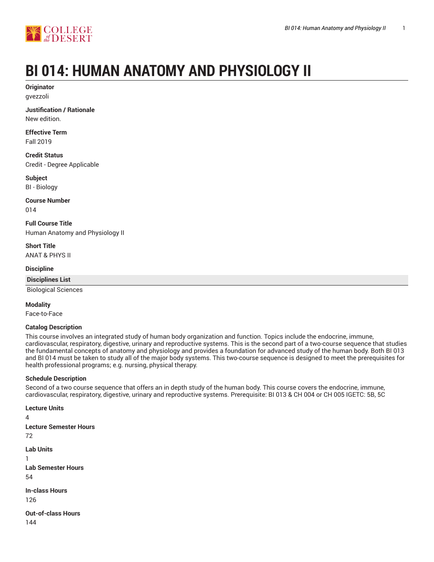

# **BI 014: HUMAN ANATOMY AND PHYSIOLOGY II**

**Originator** gvezzoli

**Justification / Rationale** New edition.

**Effective Term** Fall 2019

**Credit Status** Credit - Degree Applicable

**Subject** BI - Biology

**Course Number** 014

**Full Course Title** Human Anatomy and Physiology II

**Short Title** ANAT & PHYS II

**Discipline**

**Disciplines List** Biological Sciences

**Modality**

Face-to-Face

# **Catalog Description**

This course involves an integrated study of human body organization and function. Topics include the endocrine, immune, cardiovascular, respiratory, digestive, urinary and reproductive systems. This is the second part of a two-course sequence that studies the fundamental concepts of anatomy and physiology and provides a foundation for advanced study of the human body. Both BI 013 and BI 014 must be taken to study all of the major body systems. This two-course sequence is designed to meet the prerequisites for health professional programs; e.g. nursing, physical therapy.

# **Schedule Description**

Second of a two course sequence that offers an in depth study of the human body. This course covers the endocrine, immune, cardiovascular, respiratory, digestive, urinary and reproductive systems. Prerequisite: BI 013 & CH 004 or CH 005 IGETC: 5B, 5C

**Lecture Units**

4 **Lecture Semester Hours** 72 **Lab Units** 1 **Lab Semester Hours** 54 **In-class Hours** 126 **Out-of-class Hours** 144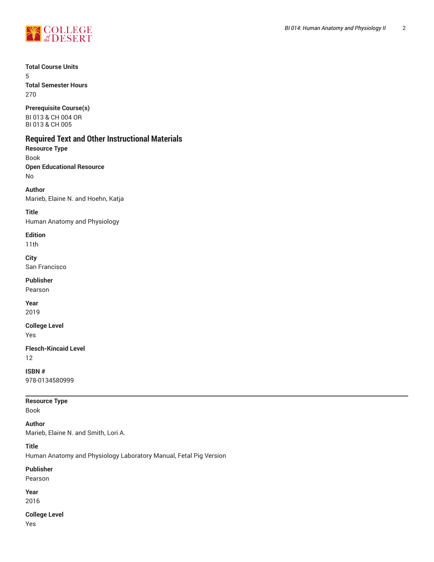

**Total Course Units** 5

**Total Semester Hours** 270

**Prerequisite Course(s)** BI 013 & CH 004 OR BI 013 & CH 005

# **Required Text and Other Instructional Materials**

**Resource Type** Book **Open Educational Resource** No

**Author** Marieb, Elaine N. and Hoehn, Katja

**Title** Human Anatomy and Physiology

**Edition**

11th

**City** San Francisco

**Publisher**

Pearson

**Year** 2019

**College Level** Yes

**Flesch-Kincaid Level** 12

**ISBN #** 978-0134580999

**Resource Type**

Book

**Author** Marieb, Elaine N. and Smith, Lori A.

**Title**

Human Anatomy and Physiology Laboratory Manual, Fetal Pig Version

**Publisher**

Pearson

**Year** 2016

**College Level**

Yes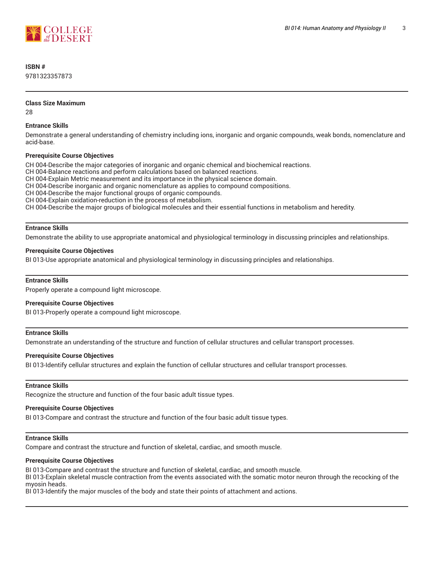

# **ISBN #**

9781323357873

#### **Class Size Maximum**

28

# **Entrance Skills**

Demonstrate a general understanding of chemistry including ions, inorganic and organic compounds, weak bonds, nomenclature and acid-base.

# **Prerequisite Course Objectives**

CH 004-Describe the major categories of inorganic and organic chemical and biochemical reactions.

CH 004-Balance reactions and perform calculations based on balanced reactions.

CH 004-Explain Metric measurement and its importance in the physical science domain.

CH 004-Describe inorganic and organic nomenclature as applies to compound compositions.

CH 004-Describe the major functional groups of organic compounds.

CH 004-Explain oxidation-reduction in the process of metabolism.

CH 004-Describe the major groups of biological molecules and their essential functions in metabolism and heredity.

# **Entrance Skills**

Demonstrate the ability to use appropriate anatomical and physiological terminology in discussing principles and relationships.

# **Prerequisite Course Objectives**

BI 013-Use appropriate anatomical and physiological terminology in discussing principles and relationships.

# **Entrance Skills**

Properly operate a compound light microscope.

# **Prerequisite Course Objectives**

BI 013-Properly operate a compound light microscope.

# **Entrance Skills**

Demonstrate an understanding of the structure and function of cellular structures and cellular transport processes.

# **Prerequisite Course Objectives**

BI 013-Identify cellular structures and explain the function of cellular structures and cellular transport processes.

# **Entrance Skills**

Recognize the structure and function of the four basic adult tissue types.

# **Prerequisite Course Objectives**

BI 013-Compare and contrast the structure and function of the four basic adult tissue types.

#### **Entrance Skills**

Compare and contrast the structure and function of skeletal, cardiac, and smooth muscle.

#### **Prerequisite Course Objectives**

BI 013-Compare and contrast the structure and function of skeletal, cardiac, and smooth muscle.

BI 013-Explain skeletal muscle contraction from the events associated with the somatic motor neuron through the recocking of the myosin heads.

BI 013-Identify the major muscles of the body and state their points of attachment and actions.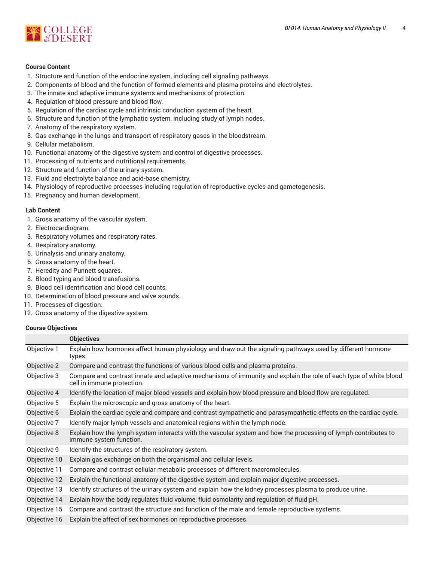

#### **Course Content**

- 1. Structure and function of the endocrine system, including cell signaling pathways.
- 2. Components of blood and the function of formed elements and plasma proteins and electrolytes.
- 3. The innate and adaptive immune systems and mechanisms of protection.
- 4. Regulation of blood pressure and blood flow.
- 5. Regulation of the cardiac cycle and intrinsic conduction system of the heart.
- 6. Structure and function of the lymphatic system, including study of lymph nodes.
- 7. Anatomy of the respiratory system.
- 8. Gas exchange in the lungs and transport of respiratory gases in the bloodstream.
- 9. Cellular metabolism.
- 10. Functional anatomy of the digestive system and control of digestive processes.
- 11. Processing of nutrients and nutritional requirements.
- 12. Structure and function of the urinary system.
- 13. Fluid and electrolyte balance and acid-base chemistry.
- 14. Physiology of reproductive processes including regulation of reproductive cycles and gametogenesis.
- 15. Pregnancy and human development.

#### **Lab Content**

- 1. Gross anatomy of the vascular system.
- 2. Electrocardiogram.
- 3. Respiratory volumes and respiratory rates.
- 4. Respiratory anatomy.
- 5. Urinalysis and urinary anatomy.
- 6. Gross anatomy of the heart.
- 7. Heredity and Punnett squares.
- 8. Blood typing and blood transfusions.
- 9. Blood cell identification and blood cell counts.
- 10. Determination of blood pressure and valve sounds.
- 11. Processes of digestion.
- 12. Gross anatomy of the digestive system.

#### **Course Objectives**

|              | <b>Objectives</b>                                                                                                                              |  |
|--------------|------------------------------------------------------------------------------------------------------------------------------------------------|--|
| Objective 1  | Explain how hormones affect human physiology and draw out the signaling pathways used by different hormone<br>types.                           |  |
| Objective 2  | Compare and contrast the functions of various blood cells and plasma proteins.                                                                 |  |
| Objective 3  | Compare and contrast innate and adaptive mechanisms of immunity and explain the role of each type of white blood<br>cell in immune protection. |  |
| Objective 4  | Identify the location of major blood vessels and explain how blood pressure and blood flow are regulated.                                      |  |
| Objective 5  | Explain the microscopic and gross anatomy of the heart.                                                                                        |  |
| Objective 6  | Explain the cardiac cycle and compare and contrast sympathetic and parasympathetic effects on the cardiac cycle.                               |  |
| Objective 7  | Identify major lymph vessels and anatomical regions within the lymph node.                                                                     |  |
| Objective 8  | Explain how the lymph system interacts with the vascular system and how the processing of lymph contributes to<br>immune system function.      |  |
| Objective 9  | Identify the structures of the respiratory system.                                                                                             |  |
| Objective 10 | Explain gas exchange on both the organismal and cellular levels.                                                                               |  |
| Objective 11 | Compare and contrast cellular metabolic processes of different macromolecules.                                                                 |  |
| Objective 12 | Explain the functional anatomy of the digestive system and explain major digestive processes.                                                  |  |
| Objective 13 | Identify structures of the urinary system and explain how the kidney processes plasma to produce urine.                                        |  |
| Objective 14 | Explain how the body regulates fluid volume, fluid osmolarity and regulation of fluid pH.                                                      |  |
| Objective 15 | Compare and contrast the structure and function of the male and female reproductive systems.                                                   |  |
| Objective 16 | Explain the affect of sex hormones on reproductive processes.                                                                                  |  |
|              |                                                                                                                                                |  |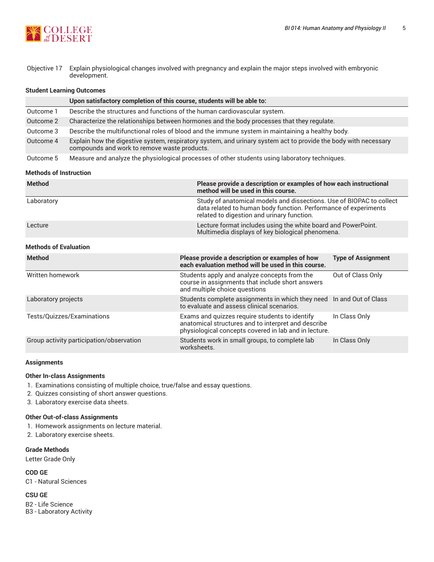

Objective 17 Explain physiological changes involved with pregnancy and explain the major steps involved with embryonic development.

#### **Student Learning Outcomes**

|           | Upon satisfactory completion of this course, students will be able to:                                                                                          |
|-----------|-----------------------------------------------------------------------------------------------------------------------------------------------------------------|
| Outcome 1 | Describe the structures and functions of the human cardiovascular system.                                                                                       |
| Outcome 2 | Characterize the relationships between hormones and the body processes that they regulate.                                                                      |
| Outcome 3 | Describe the multifunctional roles of blood and the immune system in maintaining a healthy body.                                                                |
| Outcome 4 | Explain how the digestive system, respiratory system, and urinary system act to provide the body with necessary<br>compounds and work to remove waste products. |
| Outcome 5 | Measure and analyze the physiological processes of other students using laboratory techniques.                                                                  |

#### **Methods of Instruction**

| <b>Method</b> | Please provide a description or examples of how each instructional<br>method will be used in this course.                                                                             |
|---------------|---------------------------------------------------------------------------------------------------------------------------------------------------------------------------------------|
| Laboratory    | Study of anatomical models and dissections. Use of BIOPAC to collect<br>data related to human body function. Performance of experiments<br>related to digestion and urinary function. |
| Lecture       | Lecture format includes using the white board and PowerPoint.<br>Multimedia displays of key biological phenomena.                                                                     |

# **Methods of Evaluation**

| <b>Method</b>                            | Please provide a description or examples of how<br>each evaluation method will be used in this course.                                                         | <b>Type of Assignment</b> |
|------------------------------------------|----------------------------------------------------------------------------------------------------------------------------------------------------------------|---------------------------|
| Written homework                         | Students apply and analyze concepts from the<br>course in assignments that include short answers<br>and multiple choice questions                              | Out of Class Only         |
| Laboratory projects                      | Students complete assignments in which they need In and Out of Class<br>to evaluate and assess clinical scenarios.                                             |                           |
| Tests/Quizzes/Examinations               | Exams and quizzes require students to identify<br>anatomical structures and to interpret and describe<br>physiological concepts covered in lab and in lecture. | In Class Only             |
| Group activity participation/observation | Students work in small groups, to complete lab<br>worksheets.                                                                                                  | In Class Only             |

#### **Assignments**

#### **Other In-class Assignments**

- 1. Examinations consisting of multiple choice, true/false and essay questions.
- 2. Quizzes consisting of short answer questions.
- 3. Laboratory exercise data sheets.

#### **Other Out-of-class Assignments**

- 1. Homework assignments on lecture material.
- 2. Laboratory exercise sheets.

#### **Grade Methods**

Letter Grade Only

**COD GE** C1 - Natural Sciences

**CSU GE**

B2 - Life Science B3 - Laboratory Activity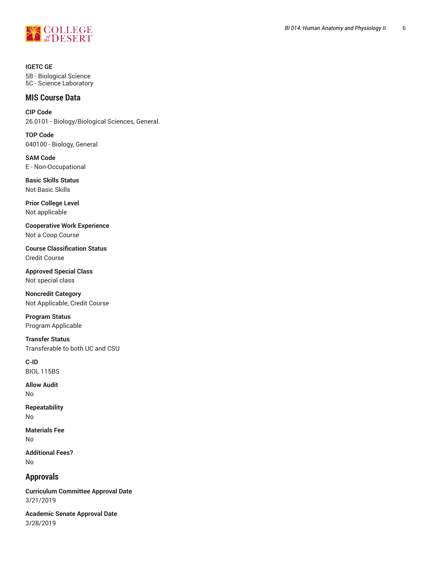

**IGETC GE** 5B - Biological Science 5C - Science Laboratory

# **MIS Course Data**

**CIP Code** 26.0101 - Biology/Biological Sciences, General.

**TOP Code** 040100 - Biology, General

**SAM Code** E - Non-Occupational

**Basic Skills Status** Not Basic Skills

**Prior College Level** Not applicable

**Cooperative Work Experience** Not a Coop Course

**Course Classification Status** Credit Course

**Approved Special Class** Not special class

**Noncredit Category** Not Applicable, Credit Course

**Program Status** Program Applicable

**Transfer Status** Transferable to both UC and CSU

**C-ID** BIOL 115BS

**Allow Audit** No

**Repeatability** No

**Materials Fee** No

**Additional Fees?** No

**Approvals**

**Curriculum Committee Approval Date** 3/21/2019

**Academic Senate Approval Date** 3/28/2019